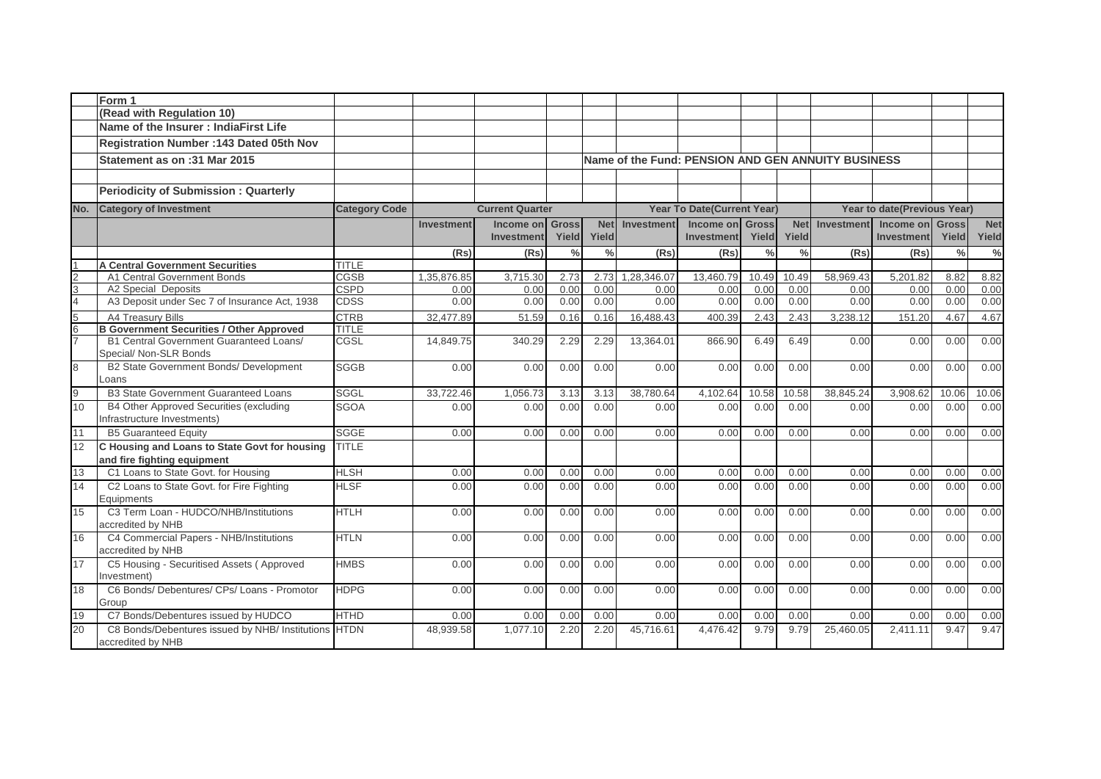|                | Form 1                                                                       |                      |                   |                        |               |               |                |                                                    |               |               |                   |                             |               |            |
|----------------|------------------------------------------------------------------------------|----------------------|-------------------|------------------------|---------------|---------------|----------------|----------------------------------------------------|---------------|---------------|-------------------|-----------------------------|---------------|------------|
|                | (Read with Regulation 10)                                                    |                      |                   |                        |               |               |                |                                                    |               |               |                   |                             |               |            |
|                | Name of the Insurer: IndiaFirst Life                                         |                      |                   |                        |               |               |                |                                                    |               |               |                   |                             |               |            |
|                | Registration Number : 143 Dated 05th Nov                                     |                      |                   |                        |               |               |                |                                                    |               |               |                   |                             |               |            |
|                | Statement as on :31 Mar 2015                                                 |                      |                   |                        |               |               |                | Name of the Fund: PENSION AND GEN ANNUITY BUSINESS |               |               |                   |                             |               |            |
|                |                                                                              |                      |                   |                        |               |               |                |                                                    |               |               |                   |                             |               |            |
|                | <b>Periodicity of Submission: Quarterly</b>                                  |                      |                   |                        |               |               |                |                                                    |               |               |                   |                             |               |            |
| No.            | <b>Category of Investment</b>                                                | <b>Category Code</b> |                   | <b>Current Quarter</b> |               |               |                | <b>Year To Date(Current Year)</b>                  |               |               |                   | Year to date(Previous Year) |               |            |
|                |                                                                              |                      | <b>Investment</b> | Income on              | <b>Gross</b>  |               | Net Investment | Income on Gross                                    |               | <b>Net</b>    | <b>Investment</b> | <b>Income on Gross</b>      |               | <b>Net</b> |
|                |                                                                              |                      |                   | <b>Investment</b>      | Yield         | Yield         |                | <b>Investment</b>                                  | Yield         | Yield         |                   | Investment                  | Yield         | Yield      |
|                |                                                                              |                      | (Rs)              | (Rs)                   | $\frac{0}{0}$ | $\frac{0}{0}$ | (Rs)           | (Rs)                                               | $\frac{0}{0}$ | $\frac{0}{0}$ | (Rs)              | (Rs)                        | $\frac{0}{0}$ | $\%$       |
|                | <b>A Central Government Securities</b>                                       | <b>TITLE</b>         |                   |                        |               |               |                |                                                    |               |               |                   |                             |               |            |
| $\frac{2}{4}$  | A1 Central Government Bonds                                                  | <b>CGSB</b>          | 1,35,876.85       | 3,715.30               | 2.73          | 2.73          | 1,28,346.07    | 13,460.79                                          | 10.49         | 10.49         | 58,969.43         | 5,201.82                    | 8.82          | 8.82       |
|                | A2 Special Deposits                                                          | <b>CSPD</b>          | 0.00              | 0.00                   | 0.00          | 0.00          | 0.00           | 0.00                                               | 0.00          | 0.00          | 0.00              | 0.00                        | 0.00          | 0.00       |
|                | A3 Deposit under Sec 7 of Insurance Act, 1938                                | <b>CDSS</b>          | 0.00              | 0.00                   | 0.00          | 0.00          | 0.00           | 0.00                                               | 0.00          | 0.00          | 0.00              | 0.00                        | 0.00          | 0.00       |
| 5<br>6<br>7    | A4 Treasury Bills                                                            | <b>CTRB</b>          | 32.477.89         | 51.59                  | 0.16          | 0.16          | 16.488.43      | 400.39                                             | 2.43          | 2.43          | 3,238.12          | 151.20                      | 4.67          | 4.67       |
|                | <b>B Government Securities / Other Approved</b>                              | <b>TITLE</b>         |                   |                        |               |               |                |                                                    |               |               |                   |                             |               |            |
|                | <b>B1 Central Government Guaranteed Loans/</b><br>Special/ Non-SLR Bonds     | CGSL                 | 14,849.75         | 340.29                 | 2.29          | 2.29          | 13,364.01      | 866.90                                             | 6.49          | 6.49          | 0.00              | 0.00                        | 0.00          | 0.00       |
| $\overline{8}$ | B2 State Government Bonds/ Development<br>Loans                              | <b>SGGB</b>          | 0.00              | 0.00                   | 0.00          | 0.00          | 0.00           | 0.00                                               | 0.00          | 0.00          | 0.00              | 0.00                        | 0.00          | 0.00       |
| $\overline{9}$ | <b>B3 State Government Guaranteed Loans</b>                                  | <b>SGGL</b>          | 33,722.46         | 1,056.73               | 3.13          | 3.13          | 38,780.64      | 4,102.64                                           | 10.58         | 10.58         | 38,845.24         | 3,908.62                    | 10.06         | 10.06      |
| 10             | B4 Other Approved Securities (excluding                                      | <b>SGOA</b>          | 0.00              | 0.00                   | 0.00          | 0.00          | 0.00           | 0.00                                               | 0.00          | 0.00          | 0.00              | 0.00                        | 0.00          | 0.00       |
| 11             | Infrastructure Investments)                                                  |                      |                   |                        |               |               |                |                                                    |               |               |                   |                             |               |            |
|                | <b>B5 Guaranteed Equity</b>                                                  | <b>SGGE</b>          | 0.00              | 0.00                   | 0.00          | 0.00          | 0.00           | 0.00                                               | 0.00          | 0.00          | 0.00              | 0.00                        | 0.00          | 0.00       |
| 12             | C Housing and Loans to State Govt for housing<br>and fire fighting equipment | <b>TITLE</b>         |                   |                        |               |               |                |                                                    |               |               |                   |                             |               |            |
| 13             | C1 Loans to State Govt. for Housing                                          | <b>HLSH</b>          | 0.00              | 0.00                   | 0.00          | 0.00          | 0.00           | 0.00                                               | 0.00          | 0.00          | 0.00              | 0.00                        | 0.00          | 0.00       |
| 14             | C2 Loans to State Govt. for Fire Fighting<br>Equipments                      | <b>HLSF</b>          | 0.00              | 0.00                   | 0.00          | 0.00          | 0.00           | 0.00                                               | 0.00          | 0.00          | 0.00              | 0.00                        | 0.00          | 0.00       |
| 15             | C3 Term Loan - HUDCO/NHB/Institutions<br>accredited by NHB                   | <b>HTLH</b>          | 0.00              | 0.00                   | 0.00          | 0.00          | 0.00           | 0.00                                               | 0.00          | 0.00          | 0.00              | 0.00                        | 0.00          | 0.00       |
| 16             | C4 Commercial Papers - NHB/Institutions<br>accredited by NHB                 | <b>HTLN</b>          | 0.00              | 0.00                   | 0.00          | 0.00          | 0.00           | 0.00                                               | 0.00          | 0.00          | 0.00              | 0.00                        | 0.00          | 0.00       |
| 17             | C5 Housing - Securitised Assets (Approved<br>Investment)                     | <b>HMBS</b>          | 0.00              | 0.00                   | 0.00          | 0.00          | 0.00           | 0.00                                               | 0.00          | 0.00          | 0.00              | 0.00                        | 0.00          | 0.00       |
| 18             | C6 Bonds/ Debentures/ CPs/ Loans - Promotor                                  | <b>HDPG</b>          | 0.00              | 0.00                   | 0.00          | 0.00          | 0.00           | 0.00                                               | 0.00          | 0.00          | 0.00              | 0.00                        | 0.00          | 0.00       |
|                | Group                                                                        |                      |                   |                        |               |               |                |                                                    |               |               |                   |                             |               |            |
| 19             | C7 Bonds/Debentures issued by HUDCO                                          | HTHD                 | 0.00              | 0.00                   | 0.00          | 0.00          | 0.00           | 0.00                                               | 0.00          | 0.00          | 0.00              | 0.00                        | 0.00          | 0.00       |
| 20             | C8 Bonds/Debentures issued by NHB/ Institutions<br>accredited by NHB         | <b>HTDN</b>          | 48.939.58         | 1.077.10               | 2.20          | 2.20          | 45.716.61      | 4.476.42                                           | 9.79          | 9.79          | 25.460.05         | 2.411.11                    | 9.47          | 9.47       |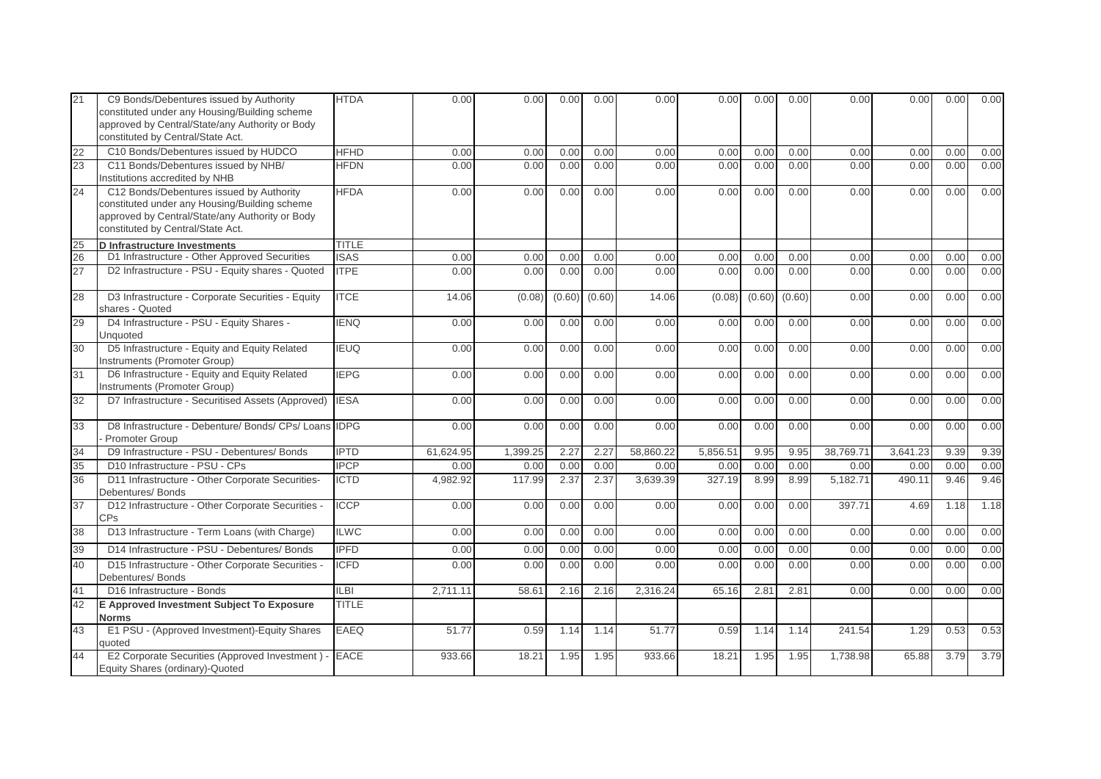| 21 | C9 Bonds/Debentures issued by Authority<br>constituted under any Housing/Building scheme<br>approved by Central/State/any Authority or Body<br>constituted by Central/State Act.  | <b>HTDA</b>  | 0.00      | 0.00     | 0.00   | 0.00   | 0.00      | 0.00     | 0.00   | 0.00   | 0.00      | 0.00     | 0.00 | 0.00 |
|----|-----------------------------------------------------------------------------------------------------------------------------------------------------------------------------------|--------------|-----------|----------|--------|--------|-----------|----------|--------|--------|-----------|----------|------|------|
| 22 | C10 Bonds/Debentures issued by HUDCO                                                                                                                                              | <b>HFHD</b>  | 0.00      | 0.00     | 0.00   | 0.00   | 0.00      | 0.00     | 0.00   | 0.00   | 0.00      | 0.00     | 0.00 | 0.00 |
| 23 | C11 Bonds/Debentures issued by NHB/<br>Institutions accredited by NHB                                                                                                             | <b>HFDN</b>  | 0.00      | 0.00     | 0.00   | 0.00   | 0.00      | 0.00     | 0.00   | 0.00   | 0.00      | 0.00     | 0.00 | 0.00 |
| 24 | C12 Bonds/Debentures issued by Authority<br>constituted under any Housing/Building scheme<br>approved by Central/State/any Authority or Body<br>constituted by Central/State Act. | <b>HFDA</b>  | 0.00      | 0.00     | 0.00   | 0.00   | 0.00      | 0.00     | 0.00   | 0.00   | 0.00      | 0.00     | 0.00 | 0.00 |
| 25 | D Infrastructure Investments                                                                                                                                                      | TITLE        |           |          |        |        |           |          |        |        |           |          |      |      |
| 26 | D1 Infrastructure - Other Approved Securities                                                                                                                                     | <b>ISAS</b>  | 0.00      | 0.00     | 0.00   | 0.00   | 0.00      | 0.00     | 0.00   | 0.00   | 0.00      | 0.00     | 0.00 | 0.00 |
| 27 | D2 Infrastructure - PSU - Equity shares - Quoted                                                                                                                                  | <b>ITPE</b>  | 0.00      | 0.00     | 0.00   | 0.00   | 0.00      | 0.00     | 0.00   | 0.00   | 0.00      | 0.00     | 0.00 | 0.00 |
| 28 | D3 Infrastructure - Corporate Securities - Equity<br>shares - Quoted                                                                                                              | <b>ITCE</b>  | 14.06     | (0.08)   | (0.60) | (0.60) | 14.06     | (0.08)   | (0.60) | (0.60) | 0.00      | 0.00     | 0.00 | 0.00 |
| 29 | D4 Infrastructure - PSU - Equity Shares -<br>Unquoted                                                                                                                             | <b>IENQ</b>  | 0.00      | 0.00     | 0.00   | 0.00   | 0.00      | 0.00     | 0.00   | 0.00   | 0.00      | 0.00     | 0.00 | 0.00 |
| 30 | D5 Infrastructure - Equity and Equity Related<br>Instruments (Promoter Group)                                                                                                     | <b>IEUQ</b>  | 0.00      | 0.00     | 0.00   | 0.00   | 0.00      | 0.00     | 0.00   | 0.00   | 0.00      | 0.00     | 0.00 | 0.00 |
| 31 | D6 Infrastructure - Equity and Equity Related<br>Instruments (Promoter Group)                                                                                                     | <b>IEPG</b>  | 0.00      | 0.00     | 0.00   | 0.00   | 0.00      | 0.00     | 0.00   | 0.00   | 0.00      | 0.00     | 0.00 | 0.00 |
| 32 | D7 Infrastructure - Securitised Assets (Approved) IESA                                                                                                                            |              | 0.00      | 0.00     | 0.00   | 0.00   | 0.00      | 0.00     | 0.00   | 0.00   | 0.00      | 0.00     | 0.00 | 0.00 |
| 33 | D8 Infrastructure - Debenture/ Bonds/ CPs/ Loans IDPG<br>Promoter Group                                                                                                           |              | 0.00      | 0.00     | 0.00   | 0.00   | 0.00      | 0.00     | 0.00   | 0.00   | 0.00      | 0.00     | 0.00 | 0.00 |
| 34 | D9 Infrastructure - PSU - Debentures/ Bonds                                                                                                                                       | <b>IPTD</b>  | 61,624.95 | 1,399.25 | 2.27   | 2.27   | 58.860.22 | 5,856.51 | 9.95   | 9.95   | 38,769.71 | 3,641.23 | 9.39 | 9.39 |
| 35 | D10 Infrastructure - PSU - CPs                                                                                                                                                    | <b>IPCP</b>  | 0.00      | 0.00     | 0.00   | 0.00   | 0.00      | 0.00     | 0.00   | 0.00   | 0.00      | 0.00     | 0.00 | 0.00 |
| 36 | D11 Infrastructure - Other Corporate Securities-<br>Debentures/ Bonds                                                                                                             | <b>ICTD</b>  | 4,982.92  | 117.99   | 2.37   | 2.37   | 3,639.39  | 327.19   | 8.99   | 8.99   | 5,182.71  | 490.11   | 9.46 | 9.46 |
| 37 | D12 Infrastructure - Other Corporate Securities -<br>CPs                                                                                                                          | <b>ICCP</b>  | 0.00      | 0.00     | 0.00   | 0.00   | 0.00      | 0.00     | 0.00   | 0.00   | 397.71    | 4.69     | 1.18 | 1.18 |
| 38 | D13 Infrastructure - Term Loans (with Charge)                                                                                                                                     | <b>ILWC</b>  | 0.00      | 0.00     | 0.00   | 0.00   | 0.00      | 0.00     | 0.00   | 0.00   | 0.00      | 0.00     | 0.00 | 0.00 |
| 39 | D14 Infrastructure - PSU - Debentures/ Bonds                                                                                                                                      | <b>IPFD</b>  | 0.00      | 0.00     | 0.00   | 0.00   | 0.00      | 0.00     | 0.00   | 0.00   | 0.00      | 0.00     | 0.00 | 0.00 |
| 40 | D15 Infrastructure - Other Corporate Securities -<br>Debentures/ Bonds                                                                                                            | <b>ICFD</b>  | 0.00      | 0.00     | 0.00   | 0.00   | 0.00      | 0.00     | 0.00   | 0.00   | 0.00      | 0.00     | 0.00 | 0.00 |
| 41 | D16 Infrastructure - Bonds                                                                                                                                                        | LB           | 2,711.11  | 58.61    | 2.16   | 2.16   | 2,316.24  | 65.16    | 2.81   | 2.81   | 0.00      | 0.00     | 0.00 | 0.00 |
| 42 | E Approved Investment Subject To Exposure<br><b>Norms</b>                                                                                                                         | <b>TITLE</b> |           |          |        |        |           |          |        |        |           |          |      |      |
| 43 | E1 PSU - (Approved Investment)-Equity Shares<br>quoted                                                                                                                            | <b>EAEQ</b>  | 51.77     | 0.59     | 1.14   | 1.14   | 51.77     | 0.59     | 1.14   | 1.14   | 241.54    | 1.29     | 0.53 | 0.53 |
| 44 | E2 Corporate Securities (Approved Investment) -<br>Equity Shares (ordinary)-Quoted                                                                                                | <b>EACE</b>  | 933.66    | 18.21    | 1.95   | 1.95   | 933.66    | 18.21    | 1.95   | 1.95   | 1,738.98  | 65.88    | 3.79 | 3.79 |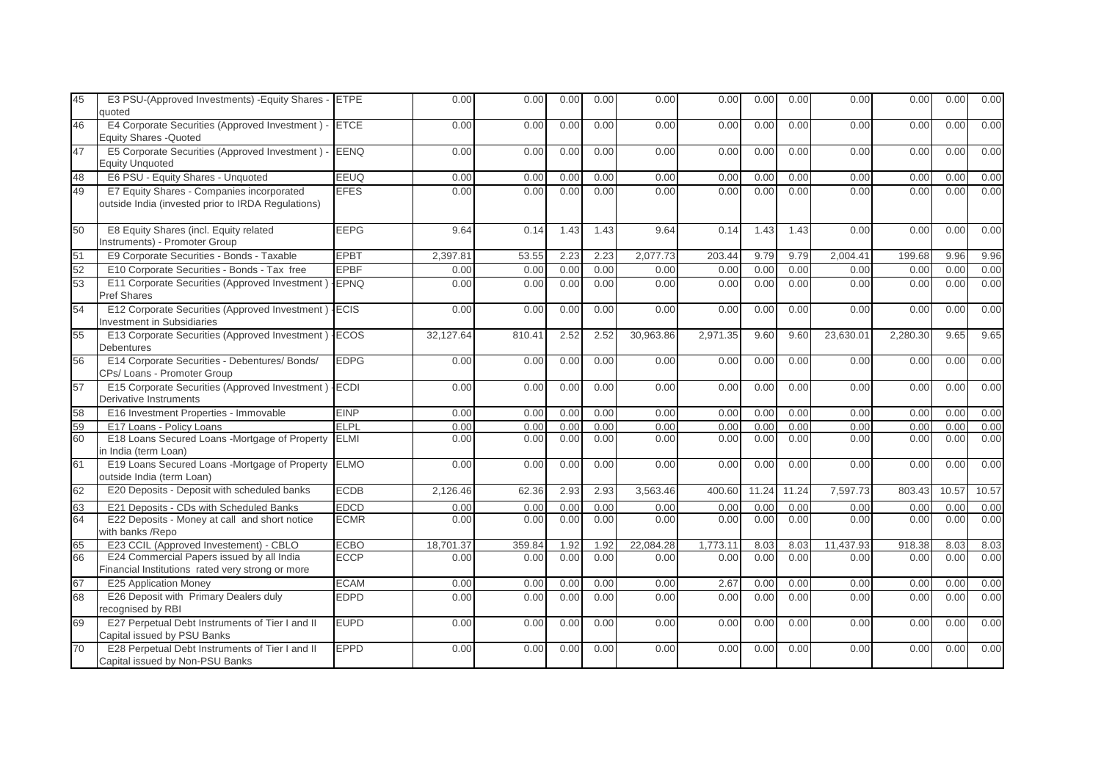| 45 | E3 PSU-(Approved Investments) - Equity Shares - ETPE<br>quoted                                  |             | 0.00      | 0.00   | 0.00 | 0.00 | 0.00      | 0.00     | 0.00  | 0.00  | 0.00      | 0.00     | 0.00  | 0.00  |
|----|-------------------------------------------------------------------------------------------------|-------------|-----------|--------|------|------|-----------|----------|-------|-------|-----------|----------|-------|-------|
| 46 | E4 Corporate Securities (Approved Investment) -<br><b>Equity Shares - Quoted</b>                | <b>ETCE</b> | 0.00      | 0.00   | 0.00 | 0.00 | 0.00      | 0.00     | 0.00  | 0.00  | 0.00      | 0.00     | 0.00  | 0.00  |
| 47 | E5 Corporate Securities (Approved Investment) -<br><b>Equity Unquoted</b>                       | <b>EENQ</b> | 0.00      | 0.00   | 0.00 | 0.00 | 0.00      | 0.00     | 0.00  | 0.00  | 0.00      | 0.00     | 0.00  | 0.00  |
| 48 | E6 PSU - Equity Shares - Unquoted                                                               | EEUQ        | 0.00      | 0.00   | 0.00 | 0.00 | 0.00      | 0.00     | 0.00  | 0.00  | 0.00      | 0.00     | 0.00  | 0.00  |
| 49 | E7 Equity Shares - Companies incorporated<br>outside India (invested prior to IRDA Regulations) | <b>EFES</b> | 0.00      | 0.00   | 0.00 | 0.00 | 0.00      | 0.00     | 0.00  | 0.00  | 0.00      | 0.00     | 0.00  | 0.00  |
| 50 | E8 Equity Shares (incl. Equity related<br>Instruments) - Promoter Group                         | <b>EEPG</b> | 9.64      | 0.14   | 1.43 | 1.43 | 9.64      | 0.14     | 1.43  | 1.43  | 0.00      | 0.00     | 0.00  | 0.00  |
| 51 | E9 Corporate Securities - Bonds - Taxable                                                       | <b>EPBT</b> | 2,397.81  | 53.55  | 2.23 | 2.23 | 2,077.73  | 203.44   | 9.79  | 9.79  | 2,004.41  | 199.68   | 9.96  | 9.96  |
| 52 | E10 Corporate Securities - Bonds - Tax free                                                     | <b>EPBF</b> | 0.00      | 0.00   | 0.00 | 0.00 | 0.00      | 0.00     | 0.00  | 0.00  | 0.00      | 0.00     | 0.00  | 0.00  |
| 53 | E11 Corporate Securities (Approved Investment) - EPNQ<br><b>Pref Shares</b>                     |             | 0.00      | 0.00   | 0.00 | 0.00 | 0.00      | 0.00     | 0.00  | 0.00  | 0.00      | 0.00     | 0.00  | 0.00  |
| 54 | E12 Corporate Securities (Approved Investment) - ECIS<br>Investment in Subsidiaries             |             | 0.00      | 0.00   | 0.00 | 0.00 | 0.00      | 0.00     | 0.00  | 0.00  | 0.00      | 0.00     | 0.00  | 0.00  |
| 55 | E13 Corporate Securities (Approved Investment)<br><b>Debentures</b>                             | <b>ECOS</b> | 32,127.64 | 810.41 | 2.52 | 2.52 | 30,963.86 | 2,971.35 | 9.60  | 9.60  | 23,630.01 | 2,280.30 | 9.65  | 9.65  |
| 56 | E14 Corporate Securities - Debentures/ Bonds/<br>CPs/ Loans - Promoter Group                    | <b>EDPG</b> | 0.00      | 0.00   | 0.00 | 0.00 | 0.00      | 0.00     | 0.00  | 0.00  | 0.00      | 0.00     | 0.00  | 0.00  |
| 57 | E15 Corporate Securities (Approved Investment)<br>Derivative Instruments                        | <b>ECDI</b> | 0.00      | 0.00   | 0.00 | 0.00 | 0.00      | 0.00     | 0.00  | 0.00  | 0.00      | 0.00     | 0.00  | 0.00  |
| 58 | E16 Investment Properties - Immovable                                                           | <b>EINP</b> | 0.00      | 0.00   | 0.00 | 0.00 | 0.00      | 0.00     | 0.00  | 0.00  | 0.00      | 0.00     | 0.00  | 0.00  |
| 59 | E17 Loans - Policy Loans                                                                        | <b>ELPL</b> | 0.00      | 0.00   | 0.00 | 0.00 | 0.00      | 0.00     | 0.00  | 0.00  | 0.00      | 0.00     | 0.00  | 0.00  |
| 60 | E18 Loans Secured Loans -Mortgage of Property<br>in India (term Loan)                           | <b>ELMI</b> | 0.00      | 0.00   | 0.00 | 0.00 | 0.00      | 0.00     | 0.00  | 0.00  | 0.00      | 0.00     | 0.00  | 0.00  |
| 61 | E19 Loans Secured Loans -Mortgage of Property<br>outside India (term Loan)                      | <b>ELMO</b> | 0.00      | 0.00   | 0.00 | 0.00 | 0.00      | 0.00     | 0.00  | 0.00  | 0.00      | 0.00     | 0.00  | 0.00  |
| 62 | E20 Deposits - Deposit with scheduled banks                                                     | <b>ECDB</b> | 2,126.46  | 62.36  | 2.93 | 2.93 | 3,563.46  | 400.60   | 11.24 | 11.24 | 7,597.73  | 803.43   | 10.57 | 10.57 |
| 63 | E21 Deposits - CDs with Scheduled Banks                                                         | <b>EDCD</b> | 0.00      | 0.00   | 0.00 | 0.00 | 0.00      | 0.00     | 0.00  | 0.00  | 0.00      | 0.00     | 0.00  | 0.00  |
| 64 | E22 Deposits - Money at call and short notice<br>with banks /Repo                               | <b>ECMR</b> | 0.00      | 0.00   | 0.00 | 0.00 | 0.00      | 0.00     | 0.00  | 0.00  | 0.00      | 0.00     | 0.00  | 0.00  |
| 65 | E23 CCIL (Approved Investement) - CBLO                                                          | <b>ECBO</b> | 18,701.37 | 359.84 | 1.92 | 1.92 | 22,084.28 | 1,773.11 | 8.03  | 8.03  | 11,437.93 | 918.38   | 8.03  | 8.03  |
| 66 | E24 Commercial Papers issued by all India<br>Financial Institutions rated very strong or more   | <b>ECCP</b> | 0.00      | 0.00   | 0.00 | 0.00 | 0.00      | 0.00     | 0.00  | 0.00  | 0.00      | 0.00     | 0.00  | 0.00  |
| 67 | E25 Application Money                                                                           | <b>ECAM</b> | 0.00      | 0.00   | 0.00 | 0.00 | 0.00      | 2.67     | 0.00  | 0.00  | 0.00      | 0.00     | 0.00  | 0.00  |
| 68 | E26 Deposit with Primary Dealers duly<br>recognised by RBI                                      | <b>EDPD</b> | 0.00      | 0.00   | 0.00 | 0.00 | 0.00      | 0.00     | 0.00  | 0.00  | 0.00      | 0.00     | 0.00  | 0.00  |
| 69 | E27 Perpetual Debt Instruments of Tier I and II<br>Capital issued by PSU Banks                  | <b>EUPD</b> | 0.00      | 0.00   | 0.00 | 0.00 | 0.00      | 0.00     | 0.00  | 0.00  | 0.00      | 0.00     | 0.00  | 0.00  |
| 70 | E28 Perpetual Debt Instruments of Tier I and II<br>Capital issued by Non-PSU Banks              | <b>EPPD</b> | 0.00      | 0.00   | 0.00 | 0.00 | 0.00      | 0.00     | 0.00  | 0.00  | 0.00      | 0.00     | 0.00  | 0.00  |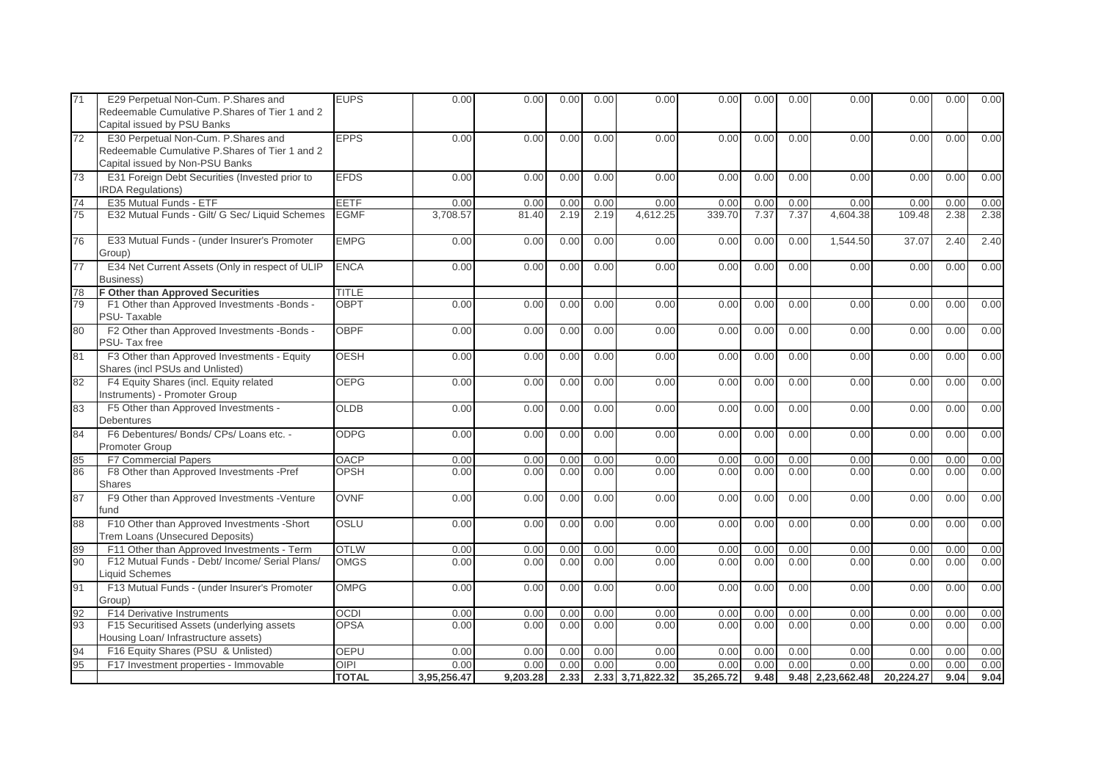| 71 | E29 Perpetual Non-Cum. P. Shares and<br>Redeemable Cumulative P.Shares of Tier 1 and 2<br>Capital issued by PSU Banks     | <b>EUPS</b>  | 0.00        | 0.00     | 0.00 | 0.00 | 0.00             | 0.00      | 0.00 | 0.00 | 0.00               | 0.00      | 0.00 | 0.00 |
|----|---------------------------------------------------------------------------------------------------------------------------|--------------|-------------|----------|------|------|------------------|-----------|------|------|--------------------|-----------|------|------|
| 72 | E30 Perpetual Non-Cum. P. Shares and<br>Redeemable Cumulative P.Shares of Tier 1 and 2<br>Capital issued by Non-PSU Banks | <b>EPPS</b>  | 0.00        | 0.00     | 0.00 | 0.00 | 0.00             | 0.00      | 0.00 | 0.00 | 0.00               | 0.00      | 0.00 | 0.00 |
| 73 | E31 Foreign Debt Securities (Invested prior to<br><b>IRDA Regulations)</b>                                                | <b>EFDS</b>  | 0.00        | 0.00     | 0.00 | 0.00 | 0.00             | 0.00      | 0.00 | 0.00 | 0.00               | 0.00      | 0.00 | 0.00 |
| 74 | E35 Mutual Funds - ETF                                                                                                    | EETF         | 0.00        | 0.00     | 0.00 | 0.00 | 0.00             | 0.00      | 0.00 | 0.00 | 0.00               | 0.00      | 0.00 | 0.00 |
| 75 | E32 Mutual Funds - Gilt/ G Sec/ Liquid Schemes                                                                            | <b>EGMF</b>  | 3.708.57    | 81.40    | 2.19 | 2.19 | 4.612.25         | 339.70    | 7.37 | 7.37 | 4.604.38           | 109.48    | 2.38 | 2.38 |
| 76 | E33 Mutual Funds - (under Insurer's Promoter<br>Group)                                                                    | <b>EMPG</b>  | 0.00        | 0.00     | 0.00 | 0.00 | 0.00             | 0.00      | 0.00 | 0.00 | 1,544.50           | 37.07     | 2.40 | 2.40 |
| 77 | E34 Net Current Assets (Only in respect of ULIP<br>Business)                                                              | <b>ENCA</b>  | 0.00        | 0.00     | 0.00 | 0.00 | 0.00             | 0.00      | 0.00 | 0.00 | 0.00               | 0.00      | 0.00 | 0.00 |
| 78 | <b>F Other than Approved Securities</b>                                                                                   | <b>TITLE</b> |             |          |      |      |                  |           |      |      |                    |           |      |      |
| 79 | F1 Other than Approved Investments -Bonds -<br>PSU-Taxable                                                                | <b>OBPT</b>  | 0.00        | 0.00     | 0.00 | 0.00 | 0.00             | 0.00      | 0.00 | 0.00 | 0.00               | 0.00      | 0.00 | 0.00 |
| 80 | F2 Other than Approved Investments -Bonds -<br>PSU-Tax free                                                               | <b>OBPF</b>  | 0.00        | 0.00     | 0.00 | 0.00 | 0.00             | 0.00      | 0.00 | 0.00 | 0.00               | 0.00      | 0.00 | 0.00 |
| 81 | F3 Other than Approved Investments - Equity<br>Shares (incl PSUs and Unlisted)                                            | <b>OESH</b>  | 0.00        | 0.00     | 0.00 | 0.00 | 0.00             | 0.00      | 0.00 | 0.00 | 0.00               | 0.00      | 0.00 | 0.00 |
| 82 | F4 Equity Shares (incl. Equity related<br>Instruments) - Promoter Group                                                   | <b>OEPG</b>  | 0.00        | 0.00     | 0.00 | 0.00 | 0.00             | 0.00      | 0.00 | 0.00 | 0.00               | 0.00      | 0.00 | 0.00 |
| 83 | F5 Other than Approved Investments -<br>Debentures                                                                        | <b>OLDB</b>  | 0.00        | 0.00     | 0.00 | 0.00 | 0.00             | 0.00      | 0.00 | 0.00 | 0.00               | 0.00      | 0.00 | 0.00 |
| 84 | F6 Debentures/ Bonds/ CPs/ Loans etc. -<br><b>Promoter Group</b>                                                          | <b>ODPG</b>  | 0.00        | 0.00     | 0.00 | 0.00 | 0.00             | 0.00      | 0.00 | 0.00 | 0.00               | 0.00      | 0.00 | 0.00 |
| 85 | <b>F7 Commercial Papers</b>                                                                                               | <b>OACP</b>  | 0.00        | 0.00     | 0.00 | 0.00 | 0.00             | 0.00      | 0.00 | 0.00 | 0.00               | 0.00      | 0.00 | 0.00 |
| 86 | F8 Other than Approved Investments -Pref<br>Shares                                                                        | <b>OPSH</b>  | 0.00        | 0.00     | 0.00 | 0.00 | 0.00             | 0.00      | 0.00 | 0.00 | 0.00               | 0.00      | 0.00 | 0.00 |
| 87 | F9 Other than Approved Investments - Venture<br>fund                                                                      | <b>OVNF</b>  | 0.00        | 0.00     | 0.00 | 0.00 | 0.00             | 0.00      | 0.00 | 0.00 | 0.00               | 0.00      | 0.00 | 0.00 |
| 88 | F10 Other than Approved Investments -Short<br><b>Trem Loans (Unsecured Deposits)</b>                                      | <b>OSLU</b>  | 0.00        | 0.00     | 0.00 | 0.00 | 0.00             | 0.00      | 0.00 | 0.00 | 0.00               | 0.00      | 0.00 | 0.00 |
| 89 | F11 Other than Approved Investments - Term                                                                                | <b>OTLW</b>  | 0.00        | 0.00     | 0.00 | 0.00 | 0.00             | 0.00      | 0.00 | 0.00 | 0.00               | 0.00      | 0.00 | 0.00 |
| 90 | F12 Mutual Funds - Debt/ Income/ Serial Plans/<br><b>Liquid Schemes</b>                                                   | OMGS         | 0.00        | 0.00     | 0.00 | 0.00 | 0.00             | 0.00      | 0.00 | 0.00 | 0.00               | 0.00      | 0.00 | 0.00 |
| 91 | F13 Mutual Funds - (under Insurer's Promoter<br>Group)                                                                    | <b>OMPG</b>  | 0.00        | 0.00     | 0.00 | 0.00 | 0.00             | 0.00      | 0.00 | 0.00 | 0.00               | 0.00      | 0.00 | 0.00 |
| 92 | F14 Derivative Instruments                                                                                                | <b>OCDI</b>  | 0.00        | 0.00     | 0.00 | 0.00 | 0.00             | 0.00      | 0.00 | 0.00 | 0.00               | 0.00      | 0.00 | 0.00 |
| 93 | F15 Securitised Assets (underlying assets<br>Housing Loan/ Infrastructure assets)                                         | <b>OPSA</b>  | 0.00        | 0.00     | 0.00 | 0.00 | 0.00             | 0.00      | 0.00 | 0.00 | 0.00               | 0.00      | 0.00 | 0.00 |
| 94 | F16 Equity Shares (PSU & Unlisted)                                                                                        | <b>OEPU</b>  | 0.00        | 0.00     | 0.00 | 0.00 | 0.00             | 0.00      | 0.00 | 0.00 | 0.00               | 0.00      | 0.00 | 0.00 |
| 95 | F17 Investment properties - Immovable                                                                                     | OIPI         | 0.00        | 0.00     | 0.00 | 0.00 | 0.00             | 0.00      | 0.00 | 0.00 | 0.00               | 0.00      | 0.00 | 0.00 |
|    |                                                                                                                           | <b>TOTAL</b> | 3,95,256.47 | 9.203.28 | 2.33 |      | 2.33 3,71,822.32 | 35,265.72 | 9.48 |      | $9.48$ 2,23,662.48 | 20,224.27 | 9.04 | 9.04 |